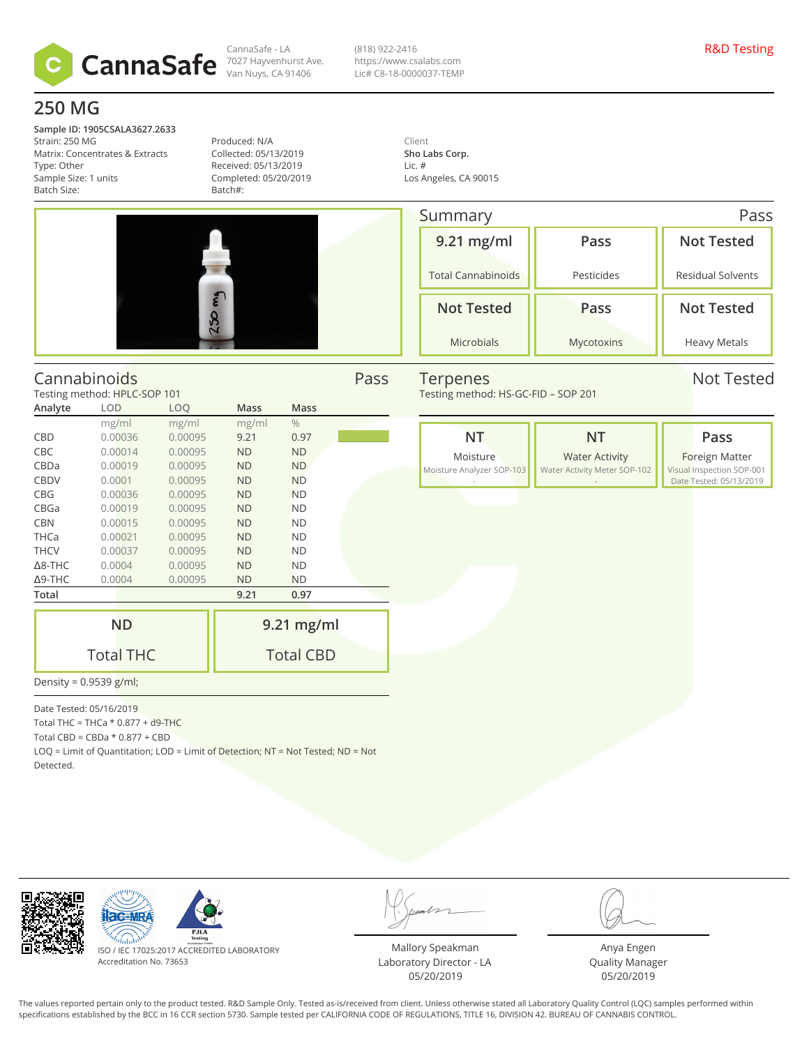

CannaSafe - LA Van Nuys, CA 91406 (818) 922-2416 https://www.csalabs.com Lic# C8-18-0000037-TEMP

# **250 MG**

**Sample ID: 1905CSALA3627.2633** Strain: 250 MG Matrix: Concentrates & Extracts Type: Other Sample Size: 1 units Batch Size:

Produced: N/A Collected: 05/13/2019 Received: 05/13/2019 Completed: 05/20/2019 Batch#:

Client **Sho Labs Corp.** Lic. # Los Angeles, CA 90015

| 250 mg |  |
|--------|--|

Summary Pass **9.21 mg/ml** Total Cannabinoids **Pass** Pesticides **Not Tested** Residual Solvents **Not Tested** Microbials **Pass** Mycotoxins **Not Tested** Heavy Metals

#### Cannabinoids Pass Testing method: HPLC-SOP 101 **Analyte LOD LOQ Mass Mass** mg/ml mg/ml mg/ml % CBD 0.00036 0.00095 9.21 0.97 CBC 0.00014 0.00095 ND ND CBDa 0.00019 0.00095 ND ND CBDV 0.0001 0.00095 ND ND CBG 0.00036 0.00095 ND ND CBGa 0.00019 0.00095 ND ND

CBN 0.00015 0.00095 ND ND THCa 0.00021 0.00095 ND ND THCV 0.00037 0.00095 ND ND Δ8-THC 0.0004 0.00095 ND ND Δ9-THC 0.0004 0.00095 ND ND Terpenes Not Tested

Testing method: HS-GC-FID – SOP 201

**NT** Moisture Moisture Analyzer SOP-103 - **NT** Water Activity Water Activity Meter SOP-102 - **Pass** Foreign Matter Visual Inspection SOP-001 Date Tested: 05/13/2019

| Total            | 9.21<br>0.97     |  |  |  |  |
|------------------|------------------|--|--|--|--|
|                  |                  |  |  |  |  |
| <b>ND</b>        | $9.21$ mg/ml     |  |  |  |  |
| <b>Total THC</b> | <b>Total CBD</b> |  |  |  |  |
|                  |                  |  |  |  |  |

Density = 0.9539 g/ml;

Date Tested: 05/16/2019

Total THC = THCa  $*$  0.877 + d9-THC

Total CBD =  $CBDa * 0.877 + CBD$ 

LOQ = Limit of Quantitation; LOD = Limit of Detection; NT = Not Tested; ND = Not Detected.





ISO / IEC 17025:2017 ACCREDITED LABORATORY Accreditation No. 73653

Mallory Speakman Laboratory Director - LA 05/20/2019

Anya Engen Quality Manager 05/20/2019

The values reported pertain only to the product tested. R&D Sample Only. Tested as-is/received from client. Unless otherwise stated all Laboratory Quality Control (LQC) samples performed within specifications established by the BCC in 16 CCR section 5730. Sample tested per CALIFORNIA CODE OF REGULATIONS, TITLE 16, DIVISION 42. BUREAU OF CANNABIS CONTROL.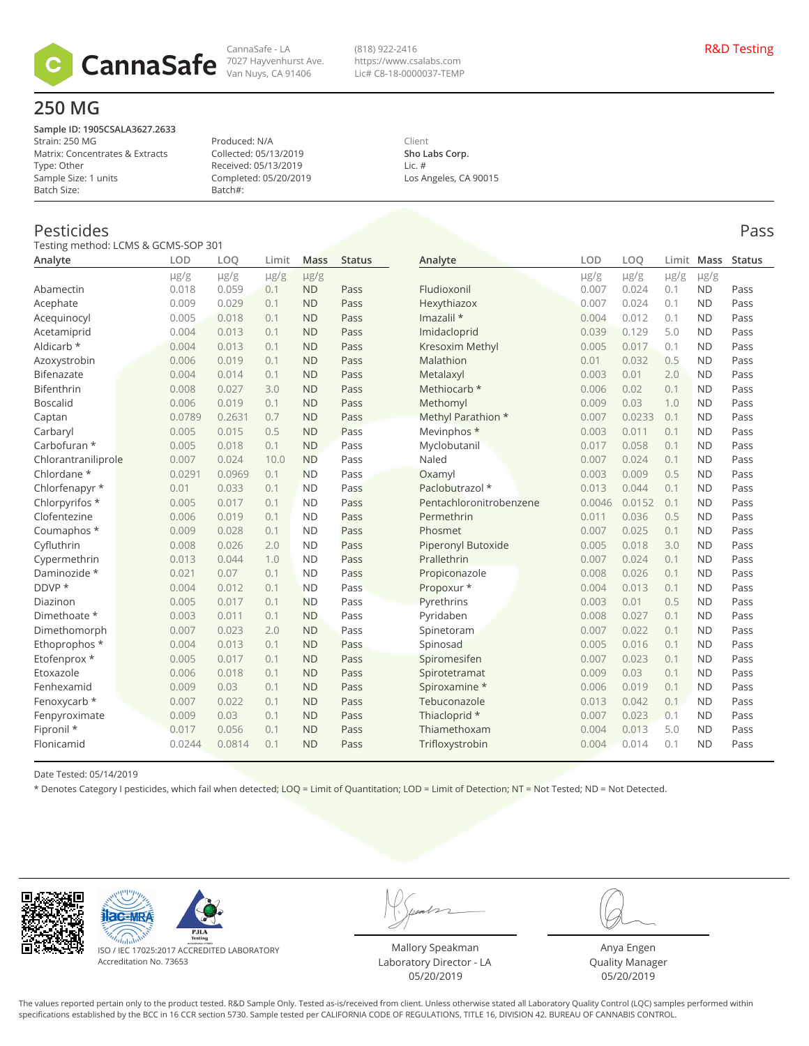

CannaSafe - LA 7027 Hayvenhurst Ave. Van Nuys, CA 91406

(818) 922-2416 https://www.csalabs.com Lic# C8-18-0000037-TEMP

## **250 MG**

**Sample ID: 1905CSALA3627.2633** Strain: 250 MG Matrix: Concentrates & Extracts Type: Other Sample Size: 1 units Batch Size:

Produced: N/A Collected: 05/13/2019 Received: 05/13/2019 Completed: 05/20/2019 Batch#:

Client **Sho Labs Corp.** Lic. # Los Angeles, CA 90015

#### Pesticides Pass

Testing method: LCMS & GCMS-SOP 301

| <b>I ESUITE THEUTOU. LUINS &amp; OCINS-SOF</b><br>Analyte | LOD       | LOO       | Limit     | <b>Mass</b> | <b>Status</b> | Analyte                 | LOD       | LO <sub>O</sub> | Limit     | Mass      | <b>Status</b> |
|-----------------------------------------------------------|-----------|-----------|-----------|-------------|---------------|-------------------------|-----------|-----------------|-----------|-----------|---------------|
|                                                           | $\mu$ g/g | $\mu$ g/g | $\mu$ g/g | $\mu$ g/g   |               |                         | $\mu$ g/g | $\mu$ g/g       | $\mu$ g/g | $\mu$ g/g |               |
| Abamectin                                                 | 0.018     | 0.059     | 0.1       | <b>ND</b>   | Pass          | Fludioxonil             | 0.007     | 0.024           | 0.1       | <b>ND</b> | Pass          |
| Acephate                                                  | 0.009     | 0.029     | 0.1       | <b>ND</b>   | Pass          | Hexythiazox             | 0.007     | 0.024           | 0.1       | <b>ND</b> | Pass          |
| Acequinocyl                                               | 0.005     | 0.018     | 0.1       | <b>ND</b>   | Pass          | Imazalil *              | 0.004     | 0.012           | 0.1       | <b>ND</b> | Pass          |
| Acetamiprid                                               | 0.004     | 0.013     | 0.1       | <b>ND</b>   | Pass          | Imidacloprid            | 0.039     | 0.129           | 5.0       | <b>ND</b> | Pass          |
| Aldicarb *                                                | 0.004     | 0.013     | 0.1       | <b>ND</b>   | Pass          | Kresoxim Methyl         | 0.005     | 0.017           | 0.1       | <b>ND</b> | Pass          |
| Azoxystrobin                                              | 0.006     | 0.019     | 0.1       | <b>ND</b>   | Pass          | Malathion               | 0.01      | 0.032           | 0.5       | <b>ND</b> | Pass          |
| <b>Bifenazate</b>                                         | 0.004     | 0.014     | 0.1       | <b>ND</b>   | Pass          | Metalaxyl               | 0.003     | 0.01            | 2.0       | <b>ND</b> | Pass          |
| Bifenthrin                                                | 0.008     | 0.027     | 3.0       | <b>ND</b>   | Pass          | Methiocarb *            | 0.006     | 0.02            | 0.1       | <b>ND</b> | Pass          |
| <b>Boscalid</b>                                           | 0.006     | 0.019     | 0.1       | <b>ND</b>   | Pass          | Methomyl                | 0.009     | 0.03            | 1.0       | <b>ND</b> | Pass          |
| Captan                                                    | 0.0789    | 0.2631    | 0.7       | <b>ND</b>   | Pass          | Methyl Parathion *      | 0.007     | 0.0233          | 0.1       | <b>ND</b> | Pass          |
| Carbaryl                                                  | 0.005     | 0.015     | 0.5       | <b>ND</b>   | Pass          | Mevinphos *             | 0.003     | 0.011           | 0.1       | <b>ND</b> | Pass          |
| Carbofuran *                                              | 0.005     | 0.018     | 0.1       | <b>ND</b>   | Pass          | Myclobutanil            | 0.017     | 0.058           | 0.1       | <b>ND</b> | Pass          |
| Chlorantraniliprole                                       | 0.007     | 0.024     | 10.0      | <b>ND</b>   | Pass          | Naled                   | 0.007     | 0.024           | 0.1       | <b>ND</b> | Pass          |
| Chlordane *                                               | 0.0291    | 0.0969    | 0.1       | <b>ND</b>   | Pass          | Oxamyl                  | 0.003     | 0.009           | 0.5       | <b>ND</b> | Pass          |
| Chlorfenapyr *                                            | 0.01      | 0.033     | 0.1       | <b>ND</b>   | Pass          | Paclobutrazol *         | 0.013     | 0.044           | 0.1       | <b>ND</b> | Pass          |
| Chlorpyrifos *                                            | 0.005     | 0.017     | 0.1       | <b>ND</b>   | Pass          | Pentachloronitrobenzene | 0.0046    | 0.0152          | 0.1       | <b>ND</b> | Pass          |
| Clofentezine                                              | 0.006     | 0.019     | 0.1       | <b>ND</b>   | Pass          | Permethrin              | 0.011     | 0.036           | 0.5       | <b>ND</b> | Pass          |
| Coumaphos *                                               | 0.009     | 0.028     | 0.1       | <b>ND</b>   | Pass          | Phosmet                 | 0.007     | 0.025           | 0.1       | <b>ND</b> | Pass          |
| Cyfluthrin                                                | 0.008     | 0.026     | 2.0       | <b>ND</b>   | Pass          | Piperonyl Butoxide      | 0.005     | 0.018           | 3.0       | <b>ND</b> | Pass          |
| Cypermethrin                                              | 0.013     | 0.044     | 1.0       | <b>ND</b>   | Pass          | Prallethrin             | 0.007     | 0.024           | 0.1       | <b>ND</b> | Pass          |
| Daminozide *                                              | 0.021     | 0.07      | 0.1       | <b>ND</b>   | Pass          | Propiconazole           | 0.008     | 0.026           | 0.1       | <b>ND</b> | Pass          |
| DDVP *                                                    | 0.004     | 0.012     | 0.1       | <b>ND</b>   | Pass          | Propoxur *              | 0.004     | 0.013           | 0.1       | <b>ND</b> | Pass          |
| Diazinon                                                  | 0.005     | 0.017     | 0.1       | <b>ND</b>   | Pass          | Pyrethrins              | 0.003     | 0.01            | 0.5       | <b>ND</b> | Pass          |
| Dimethoate *                                              | 0.003     | 0.011     | 0.1       | <b>ND</b>   | Pass          | Pyridaben               | 0.008     | 0.027           | 0.1       | <b>ND</b> | Pass          |
| Dimethomorph                                              | 0.007     | 0.023     | 2.0       | <b>ND</b>   | Pass          | Spinetoram              | 0.007     | 0.022           | 0.1       | <b>ND</b> | Pass          |
| Ethoprophos *                                             | 0.004     | 0.013     | 0.1       | <b>ND</b>   | Pass          | Spinosad                | 0.005     | 0.016           | 0.1       | <b>ND</b> | Pass          |
| Etofenprox *                                              | 0.005     | 0.017     | 0.1       | <b>ND</b>   | Pass          | Spiromesifen            | 0.007     | 0.023           | 0.1       | <b>ND</b> | Pass          |
| Etoxazole                                                 | 0.006     | 0.018     | 0.1       | <b>ND</b>   | Pass          | Spirotetramat           | 0.009     | 0.03            | 0.1       | <b>ND</b> | Pass          |
| Fenhexamid                                                | 0.009     | 0.03      | 0.1       | <b>ND</b>   | Pass          | Spiroxamine *           | 0.006     | 0.019           | 0.1       | <b>ND</b> | Pass          |
| Fenoxycarb *                                              | 0.007     | 0.022     | 0.1       | <b>ND</b>   | Pass          | Tebuconazole            | 0.013     | 0.042           | 0.1       | <b>ND</b> | Pass          |
| Fenpyroximate                                             | 0.009     | 0.03      | 0.1       | <b>ND</b>   | Pass          | Thiacloprid *           | 0.007     | 0.023           | 0.1       | <b>ND</b> | Pass          |
| Fipronil *                                                | 0.017     | 0.056     | 0.1       | <b>ND</b>   | Pass          | Thiamethoxam            | 0.004     | 0.013           | 5.0       | <b>ND</b> | Pass          |
| Flonicamid                                                | 0.0244    | 0.0814    | 0.1       | <b>ND</b>   | Pass          | Trifloxystrobin         | 0.004     | 0.014           | 0.1       | <b>ND</b> | Pass          |
|                                                           |           |           |           |             |               |                         |           |                 |           |           |               |

Date Tested: 05/14/2019

\* Denotes Category I pesticides, which fail when detected; LOQ = Limit of Quantitation; LOD = Limit of Detection; NT = Not Tested; ND = Not Detected.





ISO / IEC 17025:2017 ACCREDITED LABORATORY Accreditation No. 73653

Mallory Speakman Laboratory Director - LA 05/20/2019

Anya Engen Quality Manager 05/20/2019

The values reported pertain only to the product tested. R&D Sample Only. Tested as-is/received from client. Unless otherwise stated all Laboratory Quality Control (LQC) samples performed within specifications established by the BCC in 16 CCR section 5730. Sample tested per CALIFORNIA CODE OF REGULATIONS, TITLE 16, DIVISION 42. BUREAU OF CANNABIS CONTROL.